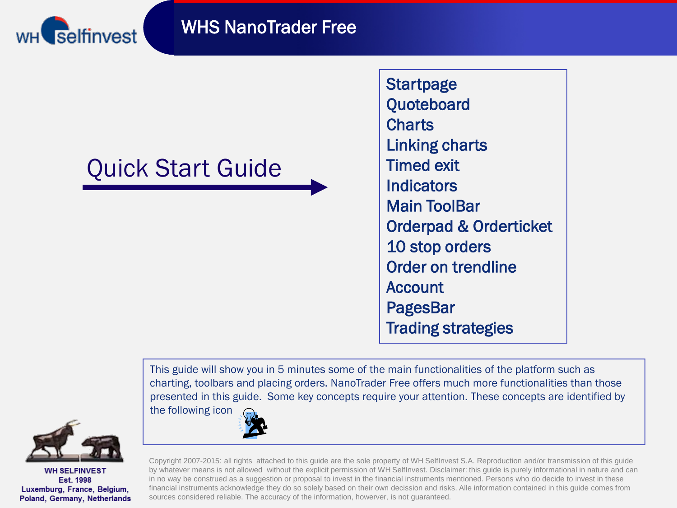



# Quick Start Guide

**Startpage Quoteboard Charts** Linking charts Timed exit **Indicators** Main ToolBar Orderpad & Orderticket 10 stop orders Order on trendline Account PagesBar Trading strategies

This guide will show you in 5 minutes some of the main functionalities of the platform such as charting, toolbars and placing orders. NanoTrader Free offers much more functionalities than those presented in this guide. Some key concepts require your attention. These concepts are identified by the following icon



**WH SELFINVEST** Est. 1998 Luxemburg, France, Belgium, Poland, Germany, Netherlands



Copyright 2007-2015: all rights attached to this guide are the sole property of WH SelfInvest S.A. Reproduction and/or transmission of this guide by whatever means is not allowed without the explicit permission of WH SelfInvest. Disclaimer: this guide is purely informational in nature and can in no way be construed as a suggestion or proposal to invest in the financial instruments mentioned. Persons who do decide to invest in these financial instruments acknowledge they do so solely based on their own decission and risks. Alle information contained in this guide comes from sources considered reliable. The accuracy of the information, howerver, is not guaranteed.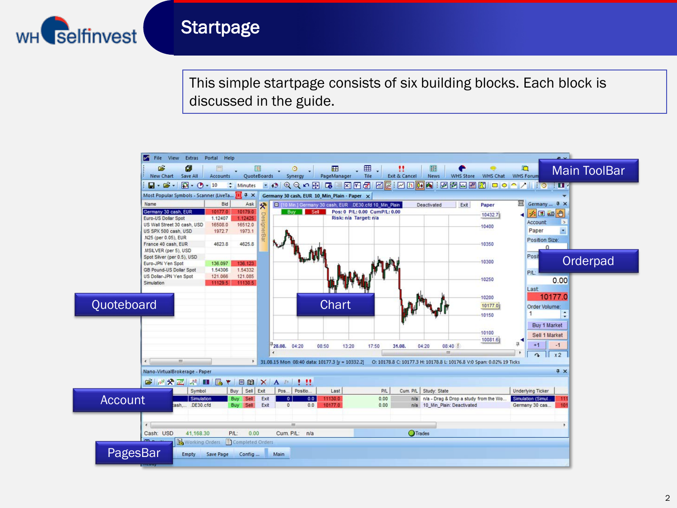

### **Startpage**

This simple startpage consists of six building blocks. Each block is discussed in the guide.

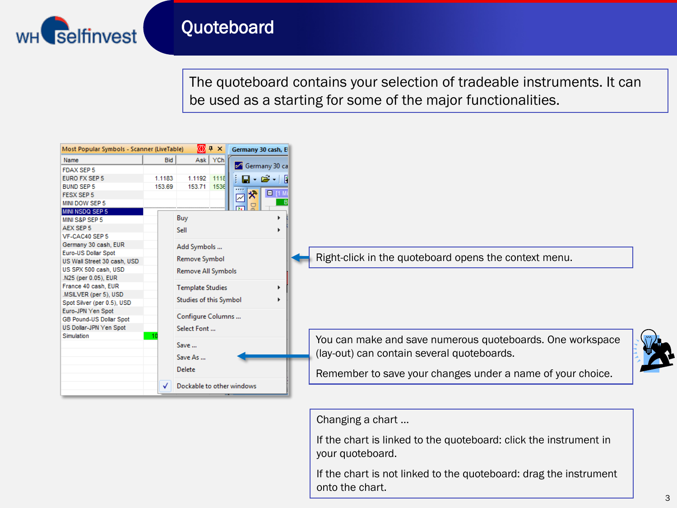

## Quoteboard

The quoteboard contains your selection of tradeable instruments. It can be used as a starting for some of the major functionalities.

| Most Popular Symbols - Scanner (LiveTable) |        | <b>1</b> + ×              | Germany 30 cash, E                              |          |                                                            |
|--------------------------------------------|--------|---------------------------|-------------------------------------------------|----------|------------------------------------------------------------|
| Name                                       | Bid    | Ask YCh                   |                                                 |          |                                                            |
| <b>FDAX SEP 5</b>                          |        |                           | ← Germany 30 ca                                 |          |                                                            |
| <b>EURO FX SEP 5</b>                       | 1.1183 | 1.1192 1118               | $\vdash$ $\Box$ $\cdot$ $\Join$ $\vdash$ $\Box$ |          |                                                            |
| <b>BUND SEP 5</b>                          | 153.69 | 153.71 1536               |                                                 |          |                                                            |
| <b>FESX SEP 5</b>                          |        |                           | *<br>☑                                          | $E$ [1 M |                                                            |
| MINI DOW SEP 5                             |        |                           |                                                 |          |                                                            |
| <b>MINI NSDQ SEP 5</b>                     |        |                           |                                                 |          |                                                            |
| MINI S&P SEP 5                             |        | Buy                       |                                                 |          |                                                            |
| AEX SEP 5                                  |        | Sell                      |                                                 | Þ.       |                                                            |
| VF-CAC40 SEP 5                             |        |                           |                                                 |          |                                                            |
| Germany 30 cash, EUR                       |        | Add Symbols               |                                                 |          |                                                            |
| Euro-US Dollar Spot                        |        |                           |                                                 |          | Right-click in the quoteboard opens the context menu.      |
| US Wall Street 30 cash, USD                |        | Remove Symbol             |                                                 |          |                                                            |
| US SPX 500 cash, USD                       |        | Remove All Symbols        |                                                 |          |                                                            |
| .N25 (per 0.05), EUR                       |        |                           |                                                 |          |                                                            |
| France 40 cash, EUR                        |        | <b>Template Studies</b>   |                                                 | Þ.       |                                                            |
| .MSILVER (per 5), USD                      |        | Studies of this Symbol    |                                                 |          |                                                            |
| Spot Silver (per 0.5), USD                 |        |                           |                                                 |          |                                                            |
| Euro-JPN Yen Spot                          |        | Configure Columns         |                                                 |          |                                                            |
| GB Pound-US Dollar Spot                    |        |                           |                                                 |          |                                                            |
| US Dollar-JPN Yen Spot                     |        | Select Font               |                                                 |          |                                                            |
| Simulation                                 |        |                           |                                                 |          | You can make and save numerous quoteboards. One workspace  |
|                                            |        | Save                      |                                                 |          |                                                            |
|                                            |        | Save As                   |                                                 |          | (lay-out) can contain several quoteboards.                 |
|                                            |        |                           |                                                 |          |                                                            |
|                                            |        | <b>Delete</b>             |                                                 |          | Remember to save your changes under a name of your choice. |
|                                            | √      | Dockable to other windows |                                                 |          |                                                            |

Changing a chart ...

If the chart is linked to the quoteboard: click the instrument in your quoteboard.

If the chart is not linked to the quoteboard: drag the instrument onto the chart.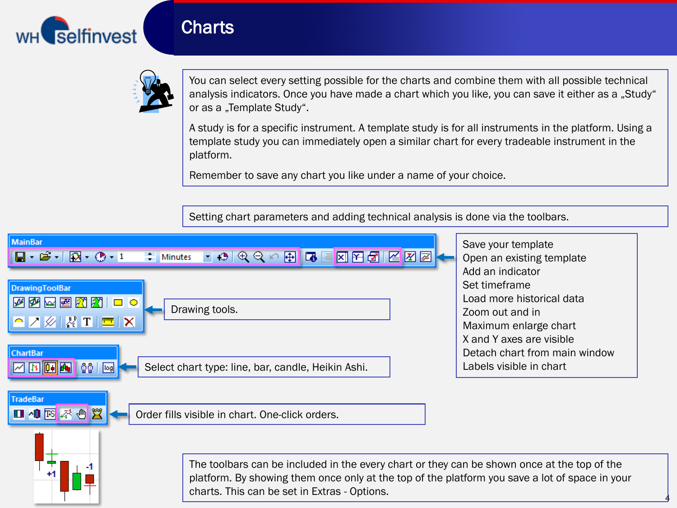

#### **Charts**



You can select every setting possible for the charts and combine them with all possible technical analysis indicators. Once you have made a chart which you like, you can save it either as a "Study" or as a "Template Study".

A study is for a specific instrument. A template study is for all instruments in the platform. Using a template study you can immediately open a similar chart for every tradeable instrument in the platform.

4

Remember to save any chart you like under a name of your choice.

Setting chart parameters and adding technical analysis is done via the toolbars.

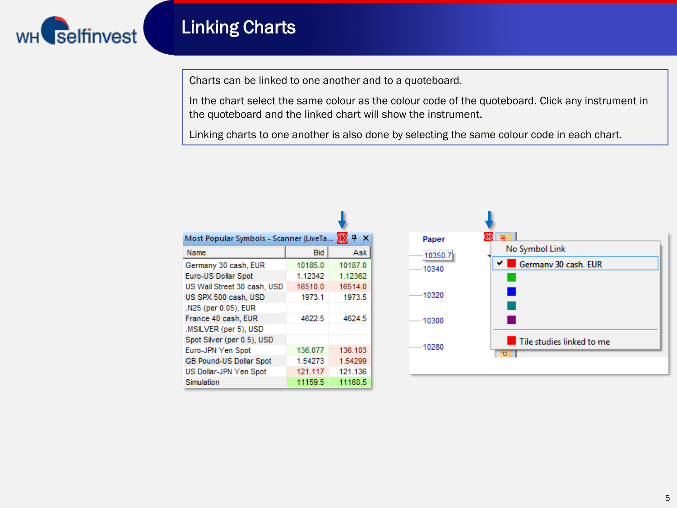

# Linking Charts

Charts can be linked to one another and to a quoteboard.

In the chart select the same colour as the colour code of the quoteboard. Click any instrument in the quoteboard and the linked chart will show the instrument.

Linking charts to one another is also done by selecting the same colour code in each chart.

| Most Popular Symbols - Scanner (LiveTa |            | ņ       |
|----------------------------------------|------------|---------|
| Name                                   | <b>Bid</b> | Ask     |
| Germany 30 cash, EUR                   | 10185.0    | 10187.0 |
| Euro-US Dollar Spot                    | 1.12342    | 1.12362 |
| US Wall Street 30 cash, USD            | 16510.0    | 16514.0 |
| US SPX 500 cash, USD                   | 1973.1     | 1973.5  |
| .N25 (per 0.05), EUR                   |            |         |
| France 40 cash, EUR                    | 4622.5     | 4624.5  |
| .MSILVER (per 5), USD                  |            |         |
| Spot Silver (per 0.5), USD             |            |         |
| Euro-JPN Yen Spot                      | 136.077    | 136.103 |
| <b>GB Pound-US Dollar Spot</b>         | 1.54273    | 1.54299 |
| US Dollar-JPN Yen Spot                 | 121.117    | 121.136 |
| Simulation                             | 11159.5    | 11160.5 |

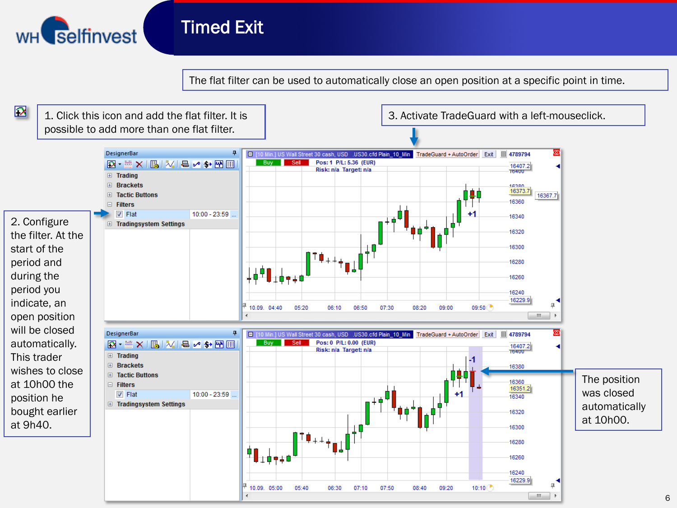

### Timed Exit

The flat filter can be used to automatically close an open position at a specific point in time.

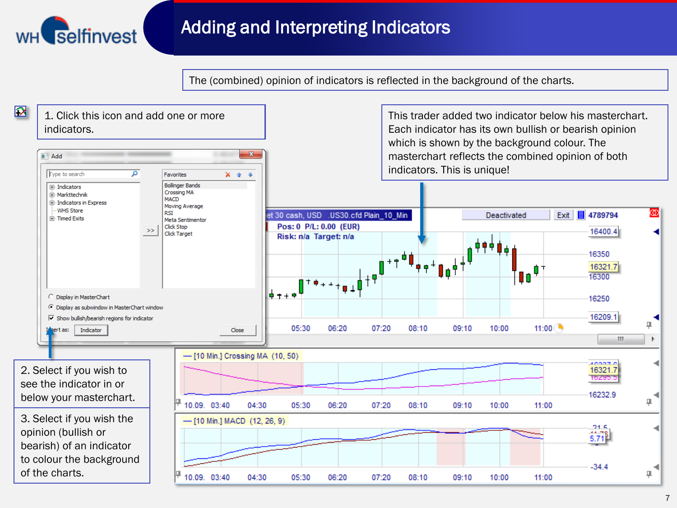

# Adding and Interpreting Indicators

The (combined) opinion of indicators is reflected in the background of the charts.

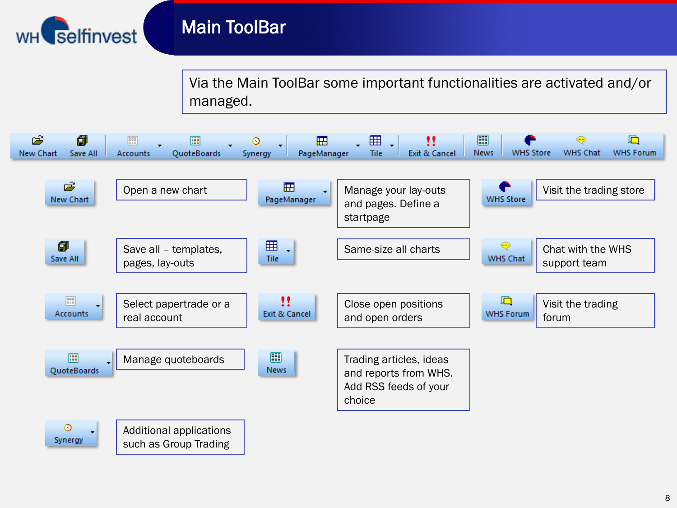

## Main ToolBar

Via the Main ToolBar some important functionalities are activated and/or managed.



8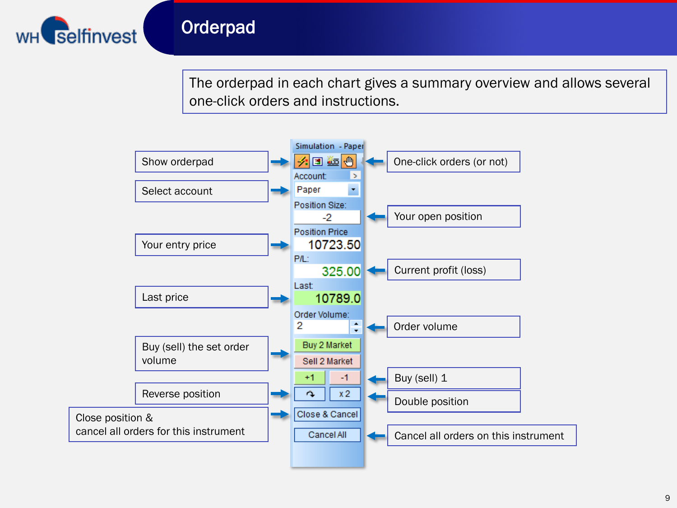

## **Orderpad**

The orderpad in each chart gives a summary overview and allows several one-click orders and instructions.

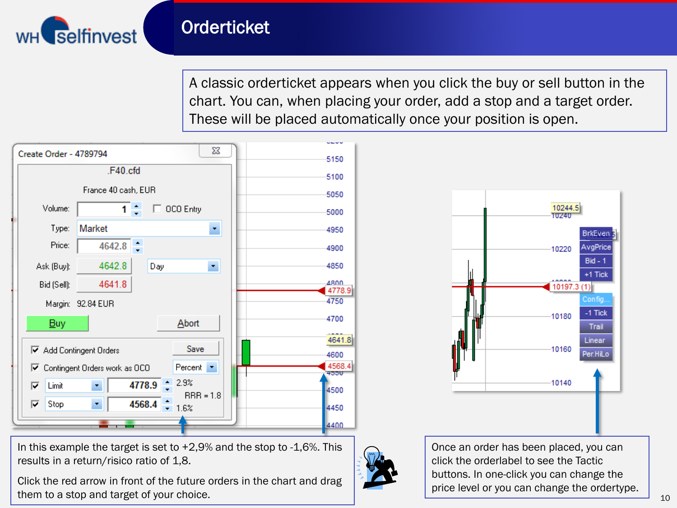

# **Orderticket**

A classic orderticket appears when you click the buy or sell button in the chart. You can, when placing your order, add a stop and a target order. These will be placed automatically once your position is open.



In this example the target is set to  $+2.9\%$  and the stop to  $-1.6\%$ . This results in a return/risico ratio of 1,8.

Click the red arrow in front of the future orders in the chart and drag them to a stop and target of your choice.





Once an order has been placed, you can click the orderlabel to see the Tactic buttons. In one-click you can change the price level or you can change the ordertype.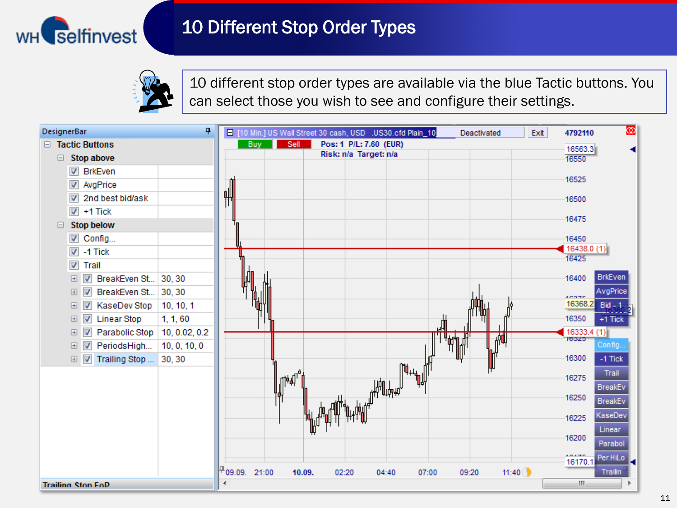

# 10 Different Stop Order Types



10 different stop order types are available via the blue Tactic buttons. You can select those you wish to see and configure their settings.

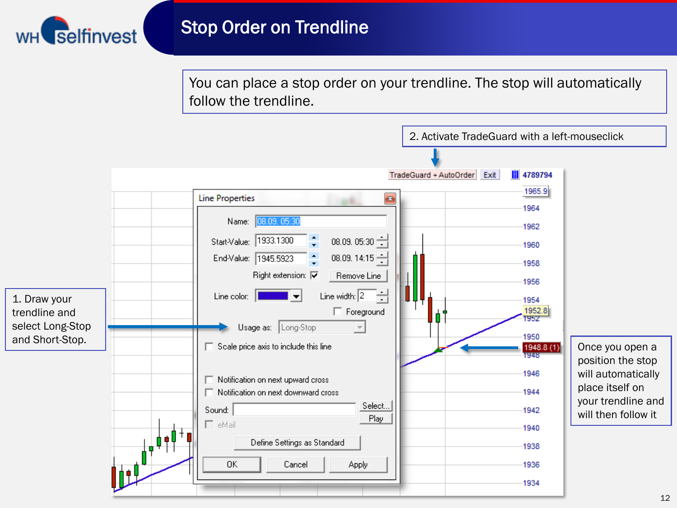

You can place a stop order on your trendline. The stop will automatically follow the trendline.

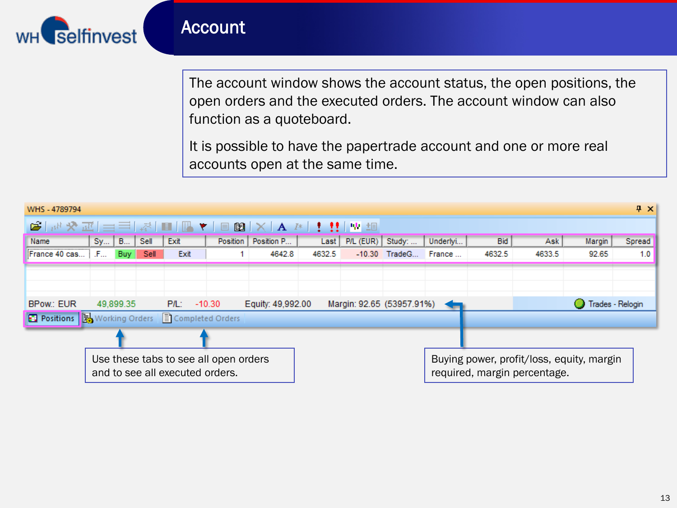

#### Account

The account window shows the account status, the open positions, the open orders and the executed orders. The account window can also function as a quoteboard.

It is possible to have the papertrade account and one or more real accounts open at the same time.

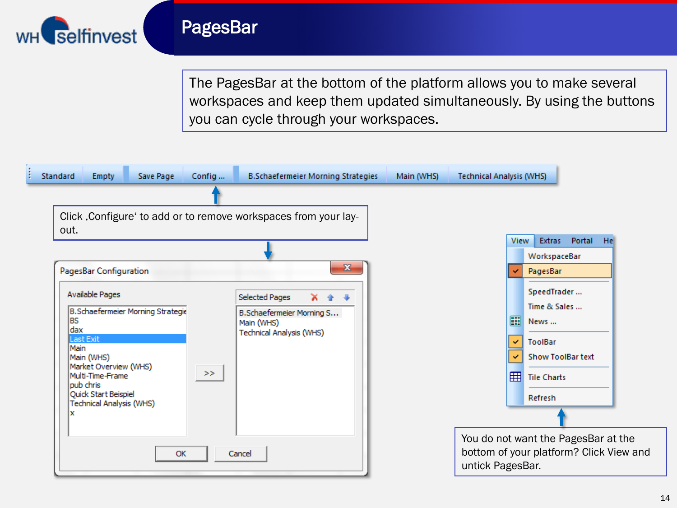

#### PagesBar

The PagesBar at the bottom of the platform allows you to make several workspaces and keep them updated simultaneously. By using the buttons you can cycle through your workspaces.